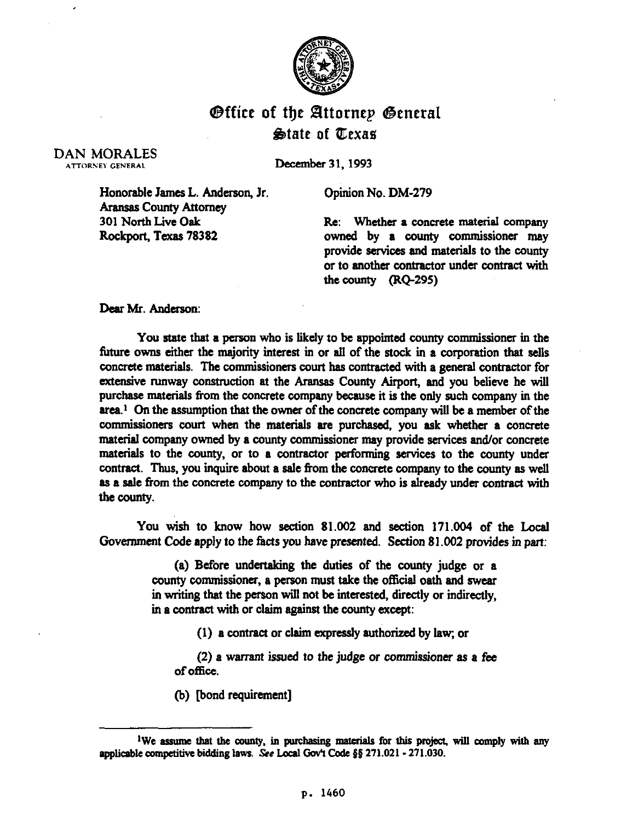

## Office of the Attorney General State of Texas

DAN MORALES ATTORSEI GENERAL

December 31,1993

Opinion No. DM-279

Honorable James L. Anderson, Jr. Aransas County Attorney 301 North Live Oak Rockport, Texas 78382

Re: Whether a concrete material company owned by a county commissioner may provide services and materials to the county or to another contractor under contract with the county  $(RQ-295)$ 

Dear Mr. Anderson:

You state that a person who is likely to be appointed county commissioner in the future owns either the majority interest in or all of the stock in a corporation that sells concrete materials. The commissioners court has contracted with a general contractor for extensive runway construction at the Aransas County Airport, and you believe he will purchase materials from the concrete company becsutse it is the only such company in the  $area<sup>1</sup>$  On the assumption that the owner of the concrete company will be a member of the commissioners court when the materials are purchased, you ask whether a concrete material company owned by a county commissioner may provide services and/or concrete materials to the county, or to a contractor performing services to the county under contract. Thus, you inquire about a sale from the concrete company to the county as well as a sale from the concrete company to the contractor who is already under contract with the county.

You wish to know how section 81.002 and section 171.004 of the Local Government Code apply to the facts you have presented. Section 81.002 provides in part:

> (a) Before undertaking the duties of the county judge or a county commissioner, a person must take the official oath and swear in writing that the person will not be interested, directly or indirectly, in a contract with or claim against the county except:

> > (1) a contract or claim expressly authorized by law; or

 $(2)$  a warrant issued to the judge or commissioner as a fee of 05ce.

(b) [bond requirement]

<sup>&</sup>lt;sup>1</sup>We assume that the county, in purchasing materials for this project, will comply with any applicable competitive bidding laws. See Local Gov't Code §§ 271.021 - 271.030.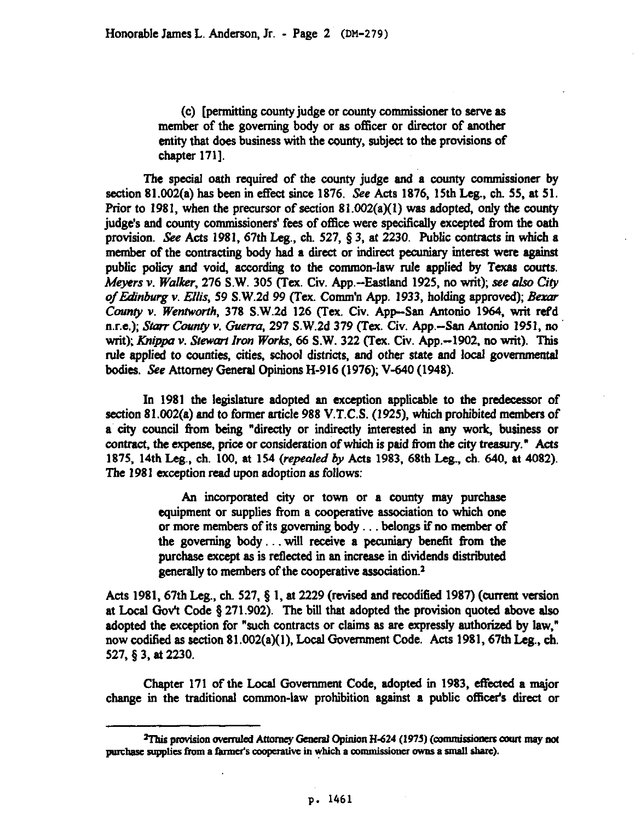(c) [permitting county judge or county commissioner to serve as member of the governing body or as officer or director of another entity that does business with the county, subject to the provisions of chapter 171].

The special oath required of the county judge and a county commissioner by section 81.002(a) has been in effect since 1876. See Acts 1876, 15th Leg., ch. 55, at 51. Prior to 1981, when the precursor of section 81.002(a)(1) was adopted, only the county judge's and county commissioners' fees of office were specifically excepted from the oath provision. See Acts 1981, 67th Leg., ch. 527,  $\S 3$ , at 2230. Public contracts in which a member of the contracting body had a direct or indirect pecuniary interest were against public policy and void, according to the common-law rule applied by Texas courts. Meyers v. Walker, 276 S.W. 305 (Tex. Civ. App.--Eastland 1925, no writ); see also City of Edinburg v. Ellis, 59 S.W.2d 99 (Tex. Comm'n App. 1933, holding approved); Bexar *County v. Wentworth, 378* S.W.2d 126 (Tex. Civ. App-San Antonio 1964, writ ref'd n.r.e.); Starr County v. Guerra, 297 S.W.2d 379 (Tex. Civ. App.-San Antonio 1951, no writ); *Knippa v. Stewart Iron Works*, 66 S.W. 322 (Tex. Civ. App.-1902, no writ). This rule applied to counties, cities, school districts, and other state and local governmental bodies. See Attorney General Opinions H-916 (1976); V-640 (1948).

In 1981 the legislature adopted an exception applicable to the predecessor of section 81.002(a) and to former article 988 V.T.C.S. (1925), which prohibited members of a city council from being "directly or indirectly interested in any work, business or contract, the expense, price or consideration of which is paid from the city treasury." Acts 1875, 14th Leg., ch. 100, at 154 (repealed by Acts 1983, 68th Leg., ch. 640, at 4082). The 1981 exception read upon adoption as follows:

> An incorporated city or town or a county may purchase equipment or supplies from a cooperative association to which one or more members of its *governing body . .* belongs if no member of the governing body... will receive a pecuniary benefit from the purchase except as is reflected in an increase in dividends distributed generally to members of the cooperative association.<sup>2</sup>

Acts 1981, 67th Leg., ch. 527,  $\S$  1, at 2229 (revised and recodified 1987) (current version at Local Gov't Code  $\S 271.902$ ). The bill that adopted the provision quoted above also adopted the exception for "such contracts or claims as are expressly authorized by law." now codified as section 81.002(a)(1), Local Government Code. Acts 1981, 67th Leg., ch. *527,s 3, at 2230.* 

Chapter 171 of the Local Government Code, adopted in 1983, effected a major change in the traditional common-law prohibition against a public officer's direct or

<sup>&</sup>lt;sup>2</sup>This provision overruled Attorney General Opinion H-624 (1975) (commissioners court may not purchase supplies from a farmer's cooperative in which a commissioner owns a small share).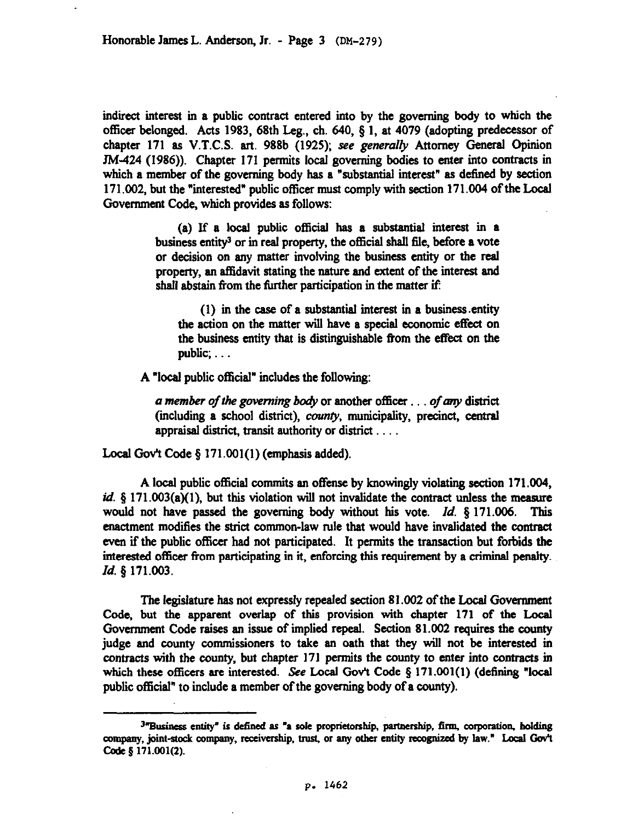indirect interest in a public contract entered into by the governing body to which the officer belonged. Acts 1983, 68th Leg., ch. 640, 4 1, at 4079 (adopting predecessor of chapter 171 as V.T.C.S. art. 988b (1925); see *generally* Attorney General Cpiion *JM-424* (1986)). Chapter 171 permits local governing bodies to enter into contracts in which a member of the governing body has a "substantial interest" as defined by section 171.002, but the "interested" public officer must comply with section 171.004 of the Local Government Code, which provides as follows:

> (a) If a local public official has a substantial interest in a business entity<sup>3</sup> or in real property, the official shall file, before a vote or decision on any matter involving the business entity or the real property, an affidavit stating the nature and extent of the interest and shall abstain from the further participation in the matter if:

(1) in the case of a substantial interest in a business.entity the action on the matter wili have a special economic effect on the business entity that is distinguishable from the effect on the public; . .

A "local public official" includes the following:

*a member of the governing body* or another officer . . . of any district (including a school district), county, municipality, precinct, central appraisal district, **transit** authority or district . . .

Local Gov't Code  $\S$  171.001(1) (emphasis added).

A local public official commits an offense by knowingly violating section 171.004, id.  $\S$  171.003(a)(1), but this violation will not invalidate the contract unless the measure would not have passed the governing body without his vote. *Id. 5* 171.006. This enactment modifies the strict common-law rule that would have invalidated the contract even if the public officer had not participated. It permits the transaction but forbids the interested officer from participating in it, enforcing this requirement by a crimmal penalty. *Id. 8* 171.003.

The legislature has not expressly repealed section 8 1.002 of the Locai Government Code, but the apparent overlap of this provision with chapter 171 of the Local Government Code raises an issue of implied repeal. Section 81.002 requires the county judge and county commissioners to take an oath that they will not be interested in contracts with the county, but chapter 171 permits the county to enter into contracts in which these officers are interested. See Local Gov't Code  $\S$  171.001(1) (defining "local public official" to include a member of the governing body of a county).

 $3$ <sup>\*</sup>Business entity" is defined as "a sole proprietorship, partnership, firm, corporation, holding company, joint-stock company, receivership, trust, or any other entity recognized by law." Local Gov't **Code § 171.001(2).**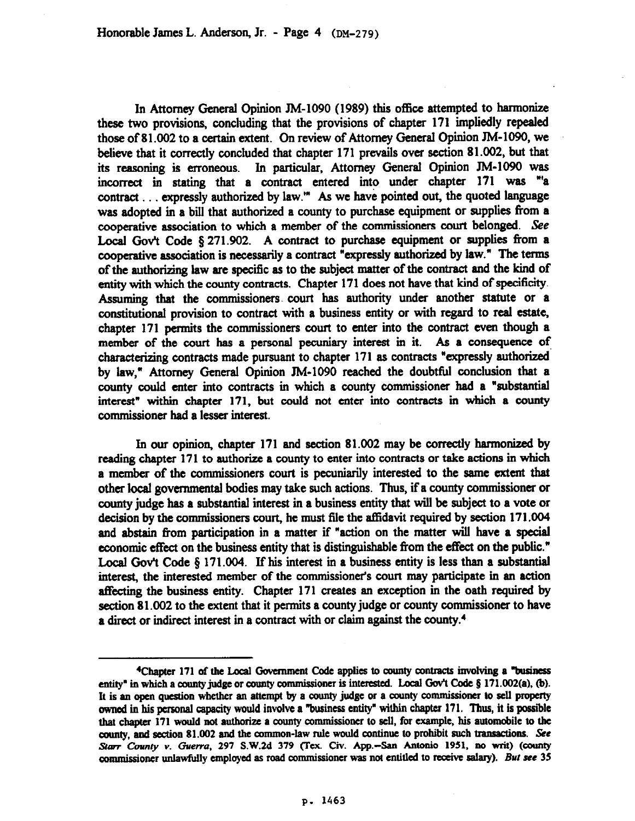In Attorney General Opinion JM-1090 (1989) this office attempted to harmonize these two provisions, concluding that the provisions of chapter 171 impliedly repealed those of 81.002 to a certain extent. On review of Attorney General Opinion JM-1090, we believe that it correctly concluded that chapter 171 prevails over section 81.002, but that its reasoning is erroneous. In particular, Attorney General Opinion JM-1090 was incorrect in stating that a contract entered into under chapter 171 was "'a contract . . . expressly authorized by law."" As we have pointed out, the quoted language was adopted in a bill that authorized a county to purchase equipment or supplies from a cooperative association to which a member of the commissioners court belonged. See Local Gov't Code § 271.902. A contract to purchase equipment or supplies from a cooperative association is necessarily a contract "expressly authorized by law." The terms of the authorizing law are specific as to the subject matter of the contract and the kind of entity with which the county contracts. Chapter 171 does not have that kind of specificity. Assuming that the commissioners court has authority under another statute or a constitutional provision to contract with a business entity or with regard to real estate, chapter 171 permits the commissioners court to enter into the contract even though a member of the court has a personal pecuniary interest in it. As a consequence of characterizing contracts made pursuant to chapter 171 as contracts "expressly authorized by law," Attorney General Opinion JM-1090 reached the doubffil conclusion that a county could enter into contracts in which a county commissioner had a "substantial interest" within chapter 171, but could not enter into contracts in which a county commissioner had a lesser interest.

In our opinion, chapter 171 and section 81.002 may be correctly harmonized by reading chapter 171 to authorize a county to enter into contracts or take actions in which a member of the commissioners court is pecuniarily interested to the same extent that other local governmental bodies may take such actions. Thus, if a county commissioner or county judge has a substantial interest in a business entity that will be subject to a vote or decision by the commissioners court, he must file the affidavit required by section 171.004 and abstain from participation in a matter if "action on the matter will have a special economic effect on the business entity that is distinguishable from the effect on the public." Local Gov't Code  $\S 171.004$ . If his interest in a business entity is less than a substantial interest, the interested member of the commissioner's court may participate in an action affecting the business entity. Chapter 171 creates an exception in the oath required by section 81.002 to the extent that it permits a county judge or county commissioner to have a direct or indirect interest in a contract with or claim against the county.<sup>4</sup>

<sup>&</sup>lt;sup>4</sup>Chapter 171 of the Local Government Code applies to county contracts involving a "business" entity" in which a county judge or county commissioner is interested. Local Gov't Code § 171.002(a), (b). It is an open question whether an attempt by a county judge or a county commissioner to sell property owned in his personal capacity would involve a "business entity" within chapter 171. Thus, it is possible **that chapter 171 would not authorize a wunty commissioner to sell, for example, his automobile to the**  county, and section 81.002 and the common-law rule would continue to prohibit such transactions. See Starr County v. Guerra, 297 S.W.2d 379 (Tex. Civ. App.-San Antonio 1951, no writ) (county commissioner unlawfully employed as road commissioner was not entitled to receive salary). But see 35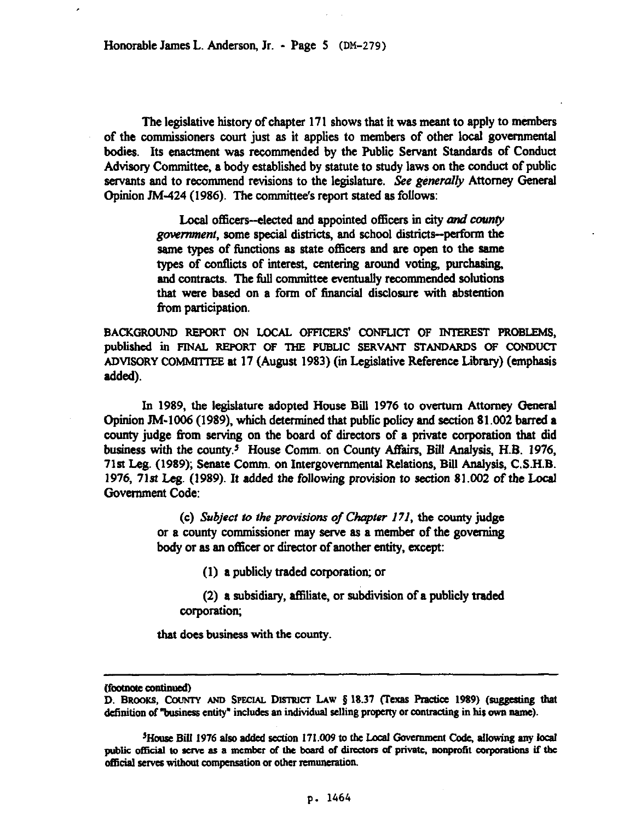,

The legislative history of chapter 171 shows that it was meant to apply to members of the wmmissioners wurt just as it applies to members of other local governmental bodies. Its enactment was recommended by the Public Servant Standards of Conduct Advisory Committee, a body established by statute to study laws on the conduct of public servants and to recommend revisions to the legislature. See generally Attorney General Opinion JM-424 (1986). The committee's report stated as follows:

> Local officers--elected and appointed officers in city and county *govemmenr,* some special districts, and school districts-perform the same types of functions as state officers and are open to the same types of conflicts of interest, centering around voting, purchasing, and contracts. The full committee eventually recommended solutions that were based on a form of financial disclosure with abstention from participation.

**BACKGROUND REPORT ON LQCAL. OFFICERS' CONFLICT OF INTEREST PROBLEMS,**  published in FINAL. **REPORT OF THE PUBLIC SERVANT STANDARDS OF CONDUCf ADVlSORY COMMITlEE** at 17 (August 1982) (m Legislative Reference Library) (emphasis added).

In 1989, the legislature adopted House Bill 1976 to overturn Attorney General Opinion Jhf-1006 (1989). which determined that public policy and section 81.002 barred a county judge from serving on the board of directors of a private corporation that did business with the county.<sup>5</sup> House Comm. on County Affairs, Bill Analysis, H.B. 1976, 7lst Leg. (1989); Senate Comm. on Intergovernmental Relations, Bill Analysis, C.S.H.B. 1976. 7lst Leg. (1989). It added the following provision to *section* 81.002 of the Local Government Code:

> *(c) Subject IO the provisions of Chapter 171, the county judge*  or a county commissioner may serve as a member of the governing body or as an officer or director of another entity, except:

> > (1) a publicly traded corporation; or

(2) a subsidiary, afliliate, or subdivision of a publicly traded corporation;

that does business with the county.

**<sup>(</sup>foomotc wnthwd)** 

D. BROOKS, COUNTY AND SPECIAL DISTRICT LAW § 18.37 (Texas Practice 1989) (suggesting that definition of "business entity" includes an individual selling property or contracting in his own name).

<sup>&</sup>lt;sup>5</sup>House Bill 1976 also added section 171.009 to the Local Government Code, allowing any local public official to serve as a member of the board of directors of private, nonprofit corporations if the official serves without compensation or other remuneration.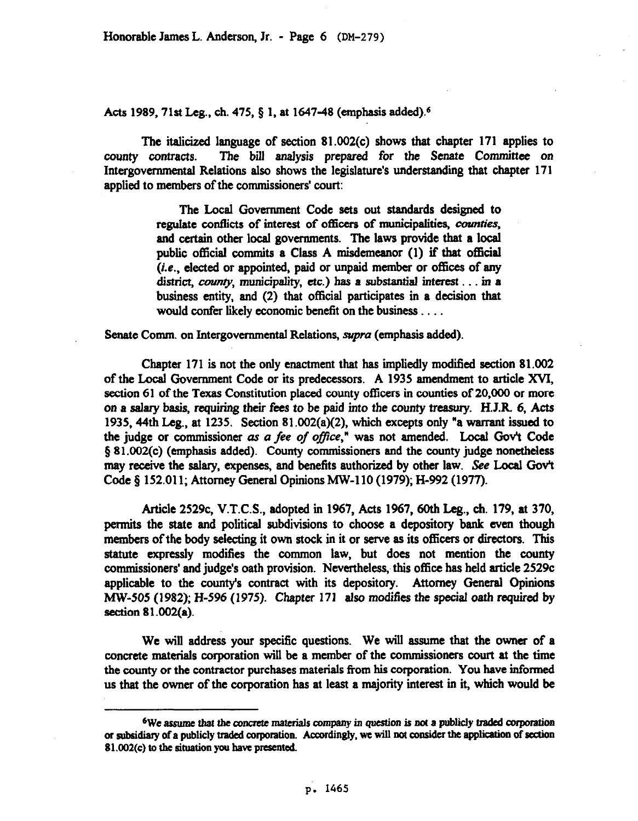Acts 1989, 71st Leg., ch. 475, § 1, at 1647-48 (emphasis added).<sup>6</sup>

The italicized language of section 81.002(c) shows that chapter 171 applies to county contracts. The bill analysis prepared for the Senate Committee on Intergovermnental Relations also shows the legislature's understandmg that chapter 171 applied to members of the commissioners' court:

> The Local Government Code sets out standards designed to regulate conflicts of interest of officers of municipalities, counties, and certain other local governments. The laws provide that a local public official commits a Class A misdemeanor (1) if that official *(i.e., elected or appointed, paid or unpaid member or offices of any* district, county, municipality, etc.) has a substantial interest... in a business entity, and (2) that official participates in a decision that would confer likely economic benefit on the business. . . .

Senate Comm. on Intergovemmental Relations, *supru* (emphasis added).

Chapter  $171$  is not the only enactment that has impliedly modified section  $81.002$ of the Local Government Code or its predecessors. A 1935 amendment to article XVI, section 61 of the Texas Constitution placed county officers in counties of 20,000 or more on a salary basis, requiring their fees to be paid into the county treasury. H.J.R. 6. Acts 1935,44th Leg., at 1235. Section 81.002(a)(2), which excepts only "a warrant issued to the judge or commissioner as a fee of office," was not amended. Local Gov't Code 5 81.002(c) (emphasis added). County commissioners and the county judge nonetheless may receive the salary, expenses, and benefits authorized by other law. See Local Gov't Code § 152.011; Attorney General Opinions MW-110 (1979); H-992 (1977).

Article 2529c, V.T.C.S., adopted in 1967, Acts 1967,6Oth Leg., ch. 179, at 370, permits the state and political subdivisions to choose a depository bank even though members of the body selecting it own stock in it or serve as its officers or directors. This statute expressly modifies the common law, but does not mention the county commissioners' and judge's oath provision. Nevertheless, this office has held article 2529c applicable to the county's contract with its depository. Attorney General Opinions MW-505 (1982); H-596 (1975). Chapter 171 also modifies the special oath required by section 81.002(a).

We will address your specific questions. We will assume that the owner of a concrete materials corporation will be a member of the commissioners court at the time the county or the contractor purchases materials from his corporation. You have informed us tbat the owner of the corporation has at least a majority interest in it, which would be

<sup>&</sup>lt;sup>6</sup>We assume that the concrete materials company in question is not a publicly traded corporation or subsidiary of a publicly traded corporation. Accordingly, we will not consider the application of section **81.002(c) to the situation you have** presented.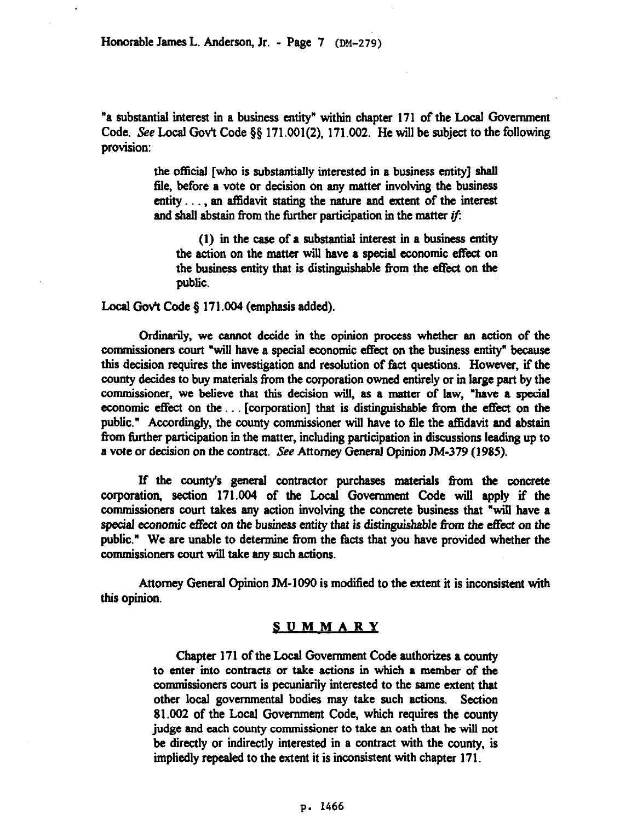"a substantial interest in a business entity" within chapter 171 of the Local Government Code. See Local Gov't Code §§ 171.001(2), 171.002. He will be subject to the following provision:

> the official (who is substantially interested in a business entity) shall file, before a vote or decision on any matter involving the business entity. . , an affidavit stating the nature and extent of the interest and shall abstain from the further participation in the matter  $if$ :

(1) in the case of a substantial interest in a business entity the action on the matter will have a special economic effect on the business entity that is distinguishable from the effect on the public.

Local Gov't Code § 171.004 (emphasis added).

Ordinarily, we cannot decide in the opinion process whether an action of the commissioners court "will have a special economic effect on the business entity" because this decision requires the investigation and resolution of fact questions. However, if the **county** decides to buy materials from the corporation owned entirely or in large part by the commissioner, we believe that this decision will, as a matter of law, "have a special economic effect on the  $\ldots$  [corporation] that is distinguishable from the effect on the public." Accordingly, the county commissioner will have to file the affidavit and abstain from further participation in the matter, including participation in discussions leading up to a vote or decision on the contract. See Attorney General Opinion JM-379 (1985).

If the county's general contractor purchases materials from the concrete corporation, section 171.004 of the Local Government Code will apply if the commissioners court takes any action involving the concrete business that "will have a special economic effect on the business entity that is distinguishable from the effect on the public." We are unable to determine from the facts that you have provided whether the commissioners court will take any such actions.

Attorney General Opinion JM-1090 is modified to the extent it is inconsistent with this opinion.

## **SUMMARY**

Chapter 171 of the Locsl Government Code authorizes a county to enter into contracts or take actions in which a member of the commissioners court is pecuniarily interested to the same extent that other local governmental bodies may take such actions. Section 81.002 of the Local Government Code, which requires the county judge and each county commissioner to take an oath that he will not be directly or indirectly interested in a contract with the county, is impliedly repealed to the extent it is inconsistent with chapter 171.